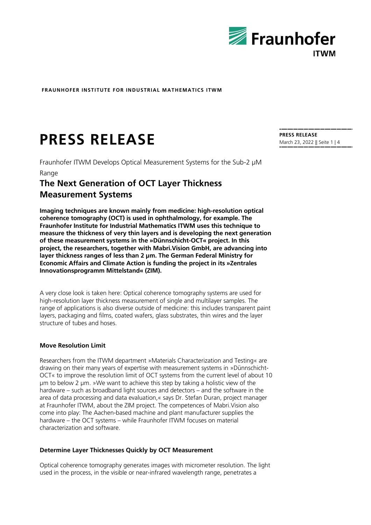

# **PRESS RELEASE PRESS RELEASE PRESS RELEASE**

Fraunhofer ITWM Develops Optical Measurement Systems for the Sub-2 µM Range

## **The Next Generation of OCT Layer Thickness Measurement Systems**

**Imaging techniques are known mainly from medicine: high-resolution optical coherence tomography (OCT) is used in ophthalmology, for example. The Fraunhofer Institute for Industrial Mathematics ITWM uses this technique to measure the thickness of very thin layers and is developing the next generation of these measurement systems in the »Dünnschicht-OCT« project. In this project, the researchers, together with Mabri.Vision GmbH, are advancing into layer thickness ranges of less than 2 µm. The German Federal Ministry for Economic Affairs and Climate Action is funding the project in its »Zentrales Innovationsprogramm Mittelstand« (ZIM).**

A very close look is taken here: Optical coherence tomography systems are used for high-resolution layer thickness measurement of single and multilayer samples. The range of applications is also diverse outside of medicine: this includes transparent paint layers, packaging and films, coated wafers, glass substrates, thin wires and the layer structure of tubes and hoses.

#### **Move Resolution Limit**

Researchers from the ITWM department »Materials Characterization and Testing« are drawing on their many years of expertise with measurement systems in »Dünnschicht-OCT« to improve the resolution limit of OCT systems from the current level of about 10 µm to below 2 µm. »We want to achieve this step by taking a holistic view of the hardware – such as broadband light sources and detectors – and the software in the area of data processing and data evaluation,« says Dr. Stefan Duran, project manager at Fraunhofer ITWM, about the ZIM project. The competences of Mabri.Vision also come into play: The Aachen-based machine and plant manufacturer supplies the hardware – the OCT systems – while Fraunhofer ITWM focuses on material characterization and software.

#### **Determine Layer Thicknesses Quickly by OCT Measurement**

Optical coherence tomography generates images with micrometer resolution. The light used in the process, in the visible or near-infrared wavelength range, penetrates a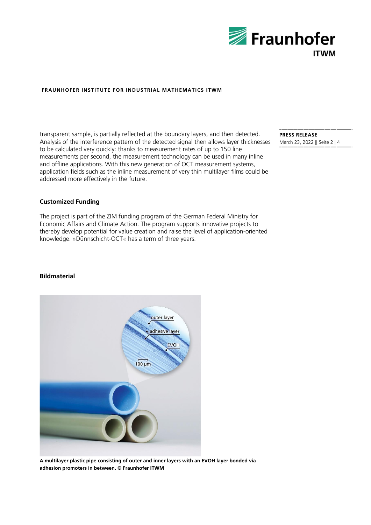

transparent sample, is partially reflected at the boundary layers, and then detected. Analysis of the interference pattern of the detected signal then allows layer thicknesses to be calculated very quickly: thanks to measurement rates of up to 150 line measurements per second, the measurement technology can be used in many inline and offline applications. With this new generation of OCT measurement systems, application fields such as the inline measurement of very thin multilayer films could be addressed more effectively in the future.

**PRESS RELEASE** March 23, 2022 || Seite 2 | 4

### **Customized Funding**

The project is part of the ZIM funding program of the German Federal Ministry for Economic Affairs and Climate Action. The program supports innovative projects to thereby develop potential for value creation and raise the level of application-oriented knowledge. »Dünnschicht-OCT« has a term of three years.

#### **Bildmaterial**



**A multilayer plastic pipe consisting of outer and inner layers with an EVOH layer bonded via adhesion promoters in between. © Fraunhofer ITWM**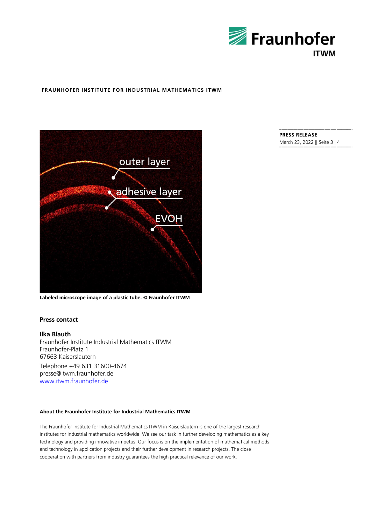



**Labeled microscope image of a plastic tube. © Fraunhofer ITWM**

#### **Press contact**

#### **Ilka Blauth**

Fraunhofer Institute Industrial Mathematics ITWM Fraunhofer-Platz 1 67663 Kaiserslautern Telephone +49 631 31600-4674

presse@itwm.fraunhofer.de [www.itwm.fraunhofer.de](http://www.itwm.fraunhofer.de/)

#### **About the Fraunhofer Institute for Industrial Mathematics ITWM**

The Fraunhofer Institute for Industrial Mathematics ITWM in Kaiserslautern is one of the largest research institutes for industrial mathematics worldwide. We see our task in further developing mathematics as a key technology and providing innovative impetus. Our focus is on the implementation of mathematical methods and technology in application projects and their further development in research projects. The close cooperation with partners from industry guarantees the high practical relevance of our work.

#### **PRESS RELEASE** March 23, 2022 || Seite 3 | 4